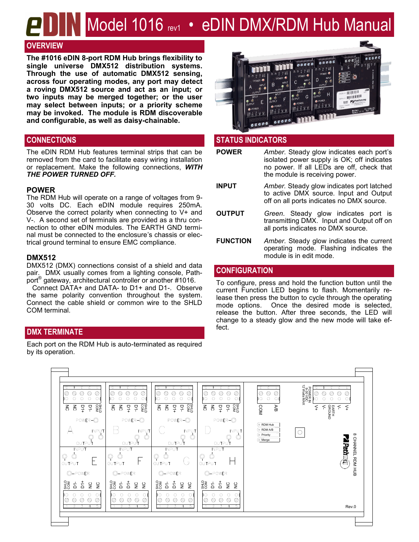# Model 1016 rev1 • eDIN DMX/RDM Hub Manual

# **OVERVIEW**

**The #1016 eDIN 8-port RDM Hub brings flexibility to single universe DMX512 distribution systems. Through the use of automatic DMX512 sensing, across four operating modes, any port may detect a roving DMX512 source and act as an input; or two inputs may be merged together; or the user may select between inputs; or a priority scheme may be invoked. The module is RDM discoverable and configurable, as well as daisy-chainable.**

The eDIN RDM Hub features terminal strips that can be removed from the card to facilitate easy wiring installation or replacement. Make the following connections, *WITH THE POWER TURNED OFF.*

### **POWER**

The RDM Hub will operate on a range of voltages from 9- 30 volts DC. Each eDIN module requires 250mA. Observe the correct polarity when connecting to V+ and V-. A second set of terminals are provided as a thru connection to other eDIN modules. The EARTH GND terminal must be connected to the enclosure's chassis or electrical ground terminal to ensure EMC compliance.

### **DMX512**

DMX512 (DMX) connections consist of a shield and data pair. DMX usually comes from a lighting console, Pathport® gateway, architectural controller or another #1016.

 Connect DATA+ and DATA- to D1+ and D1-. Observe the same polarity convention throughout the system. Connect the cable shield or common wire to the SHLD COM terminal.

# **DMX TERMINATE**

Each port on the RDM Hub is auto-terminated as required by its operation.



# **CONNECTIONS STATUS INDICATORS**

| <b>POWER</b>    | Amber. Steady glow indicates each port's<br>isolated power supply is OK; off indicates<br>no power. If all LEDs are off, check that<br>the module is receiving power. |
|-----------------|-----------------------------------------------------------------------------------------------------------------------------------------------------------------------|
| <b>INPUT</b>    | Amber. Steady glow indicates port latched<br>to active DMX source. Input and Output<br>off on all ports indicates no DMX source.                                      |
| <b>OUTPUT</b>   | Green. Steady glow indicates port is<br>transmitting DMX. Input and Output off on<br>all ports indicates no DMX source.                                               |
| <b>FUNCTION</b> | Amber. Steady glow indicates the current<br>operating mode. Flashing indicates the                                                                                    |

## **CONFIGURATION**

To configure, press and hold the function button until the current Function LED begins to flash. Momentarily release then press the button to cycle through the operating mode options. Once the desired mode is selected, release the button. After three seconds, the LED will change to a steady glow and the new mode will take effect.

module is in edit mode.